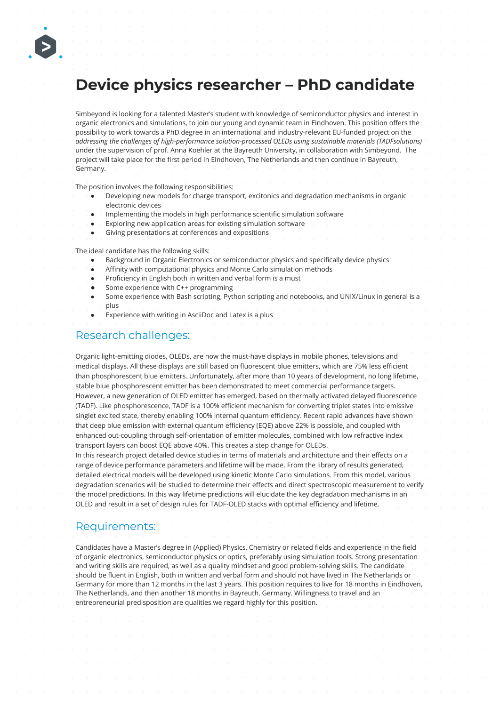# **Device physics researcher – PhD candidate**

Simbeyond is looking for a talented Master's student with knowledge of semiconductor physics and interest in organic electronics and simulations, to join our young and dynamic team in Eindhoven. This position offers the possibility to work towards a PhD degree in an international and industry-relevant EU-funded project on the *addressing the challenges of high-performance solution-processed OLEDs using sustainable materials (TADFsolutions)* under the supervision of prof. Anna Koehler at the Bayreuth University, in collaboration with Simbeyond. The project will take place for the first period in Eindhoven, The Netherlands and then continue in Bayreuth, Germany.

The position involves the following responsibilities:

- Developing new models for charge transport, excitonics and degradation mechanisms in organic electronic devices
- Implementing the models in high performance scientific simulation software
- Exploring new application areas for existing simulation software
- Giving presentations at conferences and expositions

The ideal candidate has the following skills:

- Background in Organic Electronics or semiconductor physics and specifically device physics
- Affinity with computational physics and Monte Carlo simulation methods
- Proficiency in English both in written and verbal form is a must
- Some experience with C++ programming
- Some experience with Bash scripting, Python scripting and notebooks, and UNIX/Linux in general is a plus
- Experience with writing in AsciiDoc and Latex is a plus

## Research challenges:

Organic light-emitting diodes, OLEDs, are now the must-have displays in mobile phones, televisions and medical displays. All these displays are still based on fluorescent blue emitters, which are 75% less efficient than phosphorescent blue emitters. Unfortunately, after more than 10 years of development, no long lifetime, stable blue phosphorescent emitter has been demonstrated to meet commercial performance targets. However, a new generation of OLED emitter has emerged, based on thermally activated delayed fluorescence (TADF). Like phosphorescence, TADF is a 100% efficient mechanism for converting triplet states into emissive singlet excited state, thereby enabling 100% internal quantum efficiency. Recent rapid advances have shown that deep blue emission with external quantum efficiency (EQE) above 22% is possible, and coupled with enhanced out-coupling through self-orientation of emitter molecules, combined with low refractive index transport layers can boost EQE above 40%. This creates a step change for OLEDs.

In this research project detailed device studies in terms of materials and architecture and their effects on a range of device performance parameters and lifetime will be made. From the library of results generated, detailed electrical models will be developed using kinetic Monte Carlo simulations. From this model, various degradation scenarios will be studied to determine their effects and direct spectroscopic measurement to verify the model predictions. In this way lifetime predictions will elucidate the key degradation mechanisms in an OLED and result in a set of design rules for TADF-OLED stacks with optimal efficiency and lifetime.

## Requirements:

Candidates have a Master's degree in (Applied) Physics, Chemistry or related fields and experience in the field of organic electronics, semiconductor physics or optics, preferably using simulation tools. Strong presentation and writing skills are required, as well as a quality mindset and good problem-solving skills. The candidate should be fluent in English, both in written and verbal form and should not have lived in The Netherlands or Germany for more than 12 months in the last 3 years. This position requires to live for 18 months in Eindhoven, The Netherlands, and then another 18 months in Bayreuth, Germany. Willingness to travel and an entrepreneurial predisposition are qualities we regard highly for this position.